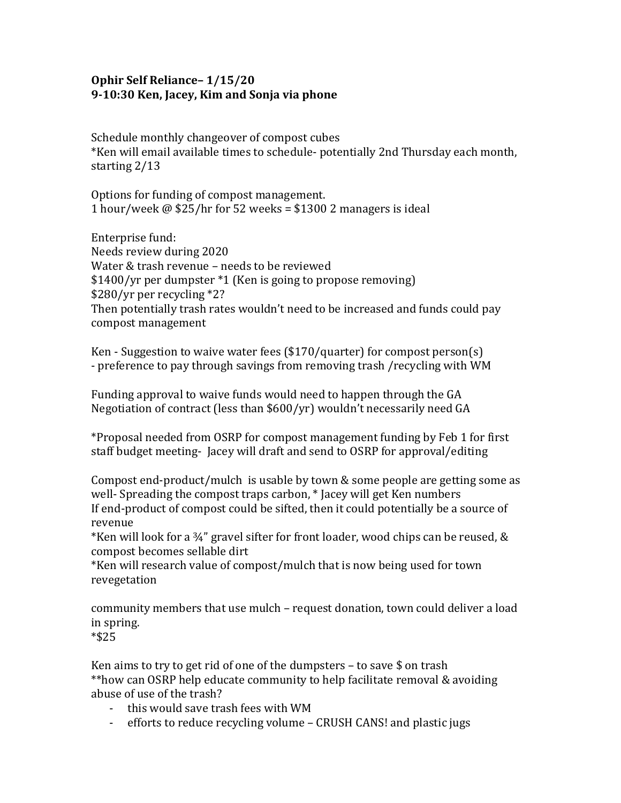## **Ophir Self Reliance– 1/15/20 9-10:30 Ken, Jacey, Kim and Sonja via phone**

Schedule monthly changeover of compost cubes \*Ken will email available times to schedule- potentially 2nd Thursday each month, starting 2/13

Options for funding of compost management. 1 hour/week @ \$25/hr for 52 weeks = \$1300 2 managers is ideal

Enterprise fund: Needs review during 2020 Water & trash revenue – needs to be reviewed \$1400/yr per dumpster \*1 (Ken is going to propose removing) \$280/yr per recycling \*2? Then potentially trash rates wouldn't need to be increased and funds could pay compost management

Ken - Suggestion to waive water fees (\$170/quarter) for compost person(s) - preference to pay through savings from removing trash /recycling with WM

Funding approval to waive funds would need to happen through the GA Negotiation of contract (less than \$600/yr) wouldn't necessarily need GA

\*Proposal needed from OSRP for compost management funding by Feb 1 for first staff budget meeting- Jacey will draft and send to OSRP for approval/editing

Compost end-product/mulch is usable by town & some people are getting some as well- Spreading the compost traps carbon, \* Jacey will get Ken numbers If end-product of compost could be sifted, then it could potentially be a source of revenue

\*Ken will look for a ¾" gravel sifter for front loader, wood chips can be reused, & compost becomes sellable dirt

\*Ken will research value of compost/mulch that is now being used for town revegetation

community members that use mulch – request donation, town could deliver a load in spring.

\*\$25

Ken aims to try to get rid of one of the dumpsters  $-$  to save \$ on trash \*\*how can OSRP help educate community to help facilitate removal & avoiding abuse of use of the trash?

- this would save trash fees with WM
- efforts to reduce recycling volume CRUSH CANS! and plastic jugs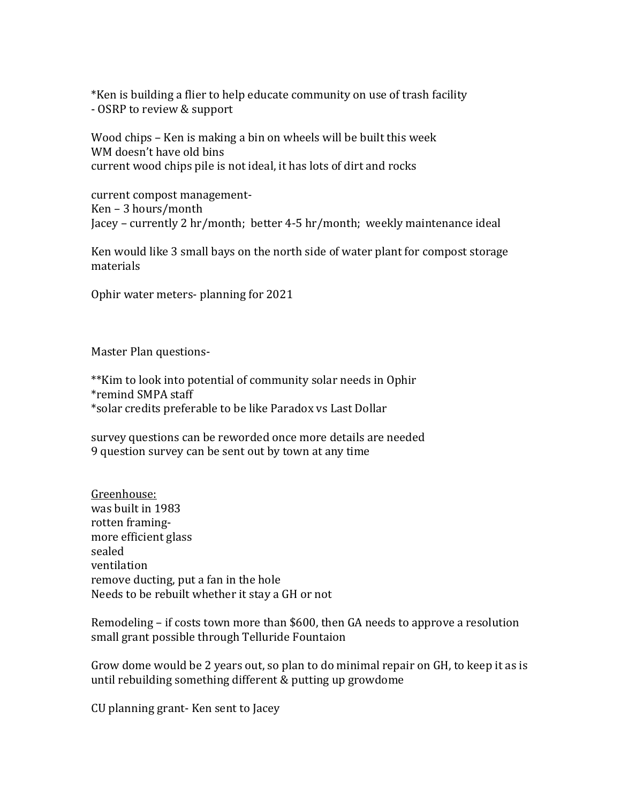\*Ken is building a flier to help educate community on use of trash facility - OSRP to review & support

Wood chips – Ken is making a bin on wheels will be built this week WM doesn't have old bins current wood chips pile is not ideal, it has lots of dirt and rocks

current compost management-Ken – 3 hours/month Jacey – currently 2 hr/month; better 4-5 hr/month; weekly maintenance ideal

Ken would like 3 small bays on the north side of water plant for compost storage materials

Ophir water meters- planning for 2021

Master Plan questions-

\*\*Kim to look into potential of community solar needs in Ophir \*remind SMPA staff \*solar credits preferable to be like Paradox vs Last Dollar

survey questions can be reworded once more details are needed 9 question survey can be sent out by town at any time

Greenhouse: was built in 1983 rotten framingmore efficient glass sealed ventilation remove ducting, put a fan in the hole Needs to be rebuilt whether it stay a GH or not

Remodeling – if costs town more than \$600, then GA needs to approve a resolution small grant possible through Telluride Fountaion

Grow dome would be 2 years out, so plan to do minimal repair on GH, to keep it as is until rebuilding something different & putting up growdome

CU planning grant- Ken sent to Jacey